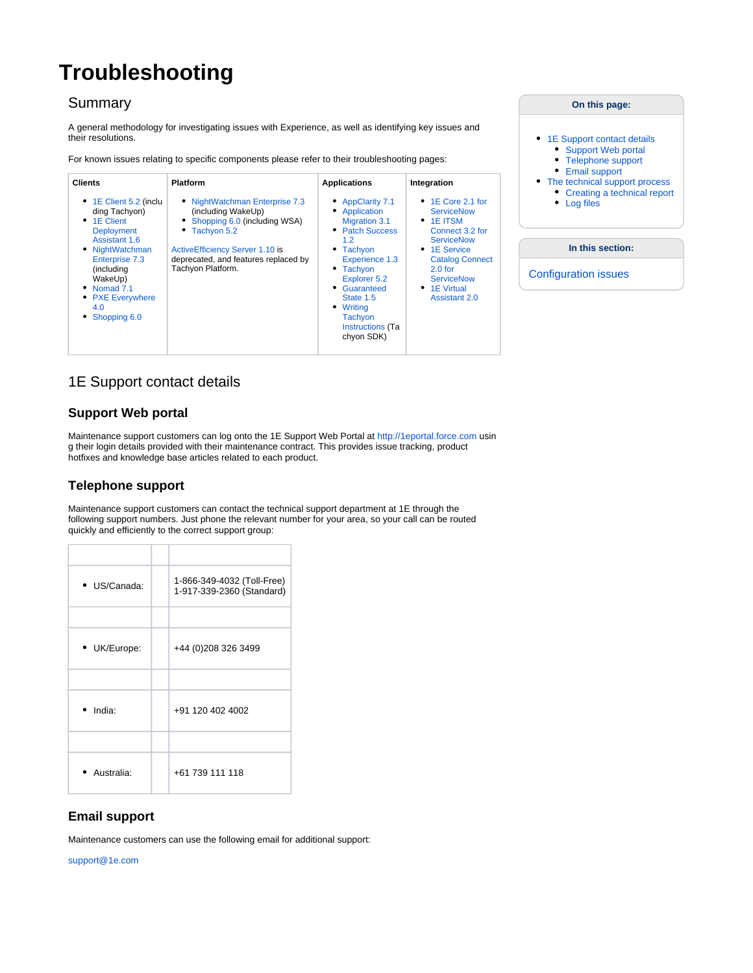# <span id="page-0-0"></span>**Troubleshooting**

# **Summary**

A general methodology for investigating issues with Experience, as well as identifying key issues and their resolutions.

For known issues relating to specific components please refer to their troubleshooting pages:

| <b>Clients</b>                                                                                                                                                                                                                               | <b>Platform</b>                                                                                                                                                                                          | <b>Applications</b>                                                                                                                                                                                                                       | Integration                                                                                                                                                                                                                           |
|----------------------------------------------------------------------------------------------------------------------------------------------------------------------------------------------------------------------------------------------|----------------------------------------------------------------------------------------------------------------------------------------------------------------------------------------------------------|-------------------------------------------------------------------------------------------------------------------------------------------------------------------------------------------------------------------------------------------|---------------------------------------------------------------------------------------------------------------------------------------------------------------------------------------------------------------------------------------|
| $\bullet$ 1E Client 5.2 (inclu<br>ding Tachyon)<br>$\bullet$ 1E Client<br><b>Deployment</b><br>Assistant 1.6<br>NightWatchman<br><b>Enterprise 7.3</b><br>(includina<br>WakeUp)<br>Nomad 7.1<br><b>PXE Everywhere</b><br>4.0<br>Shopping 6.0 | NightWatchman Enterprise 7.3<br>(including WakeUp)<br>Shopping 6.0 (including WSA)<br>Tachyon 5.2<br><b>ActiveEfficiency Server 1.10 is</b><br>deprecated, and features replaced by<br>Tachyon Platform. | • AppClarity 7.1<br>Application<br><b>Migration 3.1</b><br>• Patch Success<br>1.2<br>• Tachyon<br>Experience 1.3<br>• Tachyon<br>Explorer 5.2<br>• Guaranteed<br>State 1.5<br>Writina<br>Tachyon<br><b>Instructions</b> (Ta<br>chyon SDK) | $\cdot$ 1E Core 2.1 for<br><b>ServiceNow</b><br>$\bullet$ 1E ITSM<br>Connect 3.2 for<br><b>ServiceNow</b><br>• 1E Service<br><b>Catalog Connect</b><br>$2.0$ for<br><b>ServiceNow</b><br>$\bullet$ 1E Virtual<br><b>Assistant 2.0</b> |

# <span id="page-0-1"></span>1E Support contact details

## <span id="page-0-2"></span>**Support Web portal**

Maintenance support customers can log onto the 1E Support Web Portal at [http://1eportal.force.com](http://1eportal.force.com/) usin g their login details provided with their maintenance contract. This provides issue tracking, product hotfixes and knowledge base articles related to each product.

## <span id="page-0-3"></span>**Telephone support**

Maintenance support customers can contact the technical support department at 1E through the following support numbers. Just phone the relevant number for your area, so your call can be routed quickly and efficiently to the correct support group:

| · US/Canada:     | 1-866-349-4032 (Toll-Free)<br>1-917-339-2360 (Standard) |
|------------------|---------------------------------------------------------|
|                  |                                                         |
| • UK/Europe:     | +44 (0) 208 326 3499                                    |
|                  |                                                         |
| $\bullet$ India: | +91 120 402 4002                                        |
|                  |                                                         |
| Australia:       | +61 739 111 118                                         |

## <span id="page-0-4"></span>**Email support**

Maintenance customers can use the following email for additional support:

<span id="page-0-5"></span>[support@1e.com](mailto:support@1e.com)

| On this page:                                                                                                                                                                    |  |  |  |
|----------------------------------------------------------------------------------------------------------------------------------------------------------------------------------|--|--|--|
| • 1E Support contact details<br>Support Web portal<br>• Telephone support<br><b>Email support</b><br>• The technical support process<br>Creating a technical report<br>Log files |  |  |  |
| In this section:                                                                                                                                                                 |  |  |  |
| <b>Configuration issues</b>                                                                                                                                                      |  |  |  |